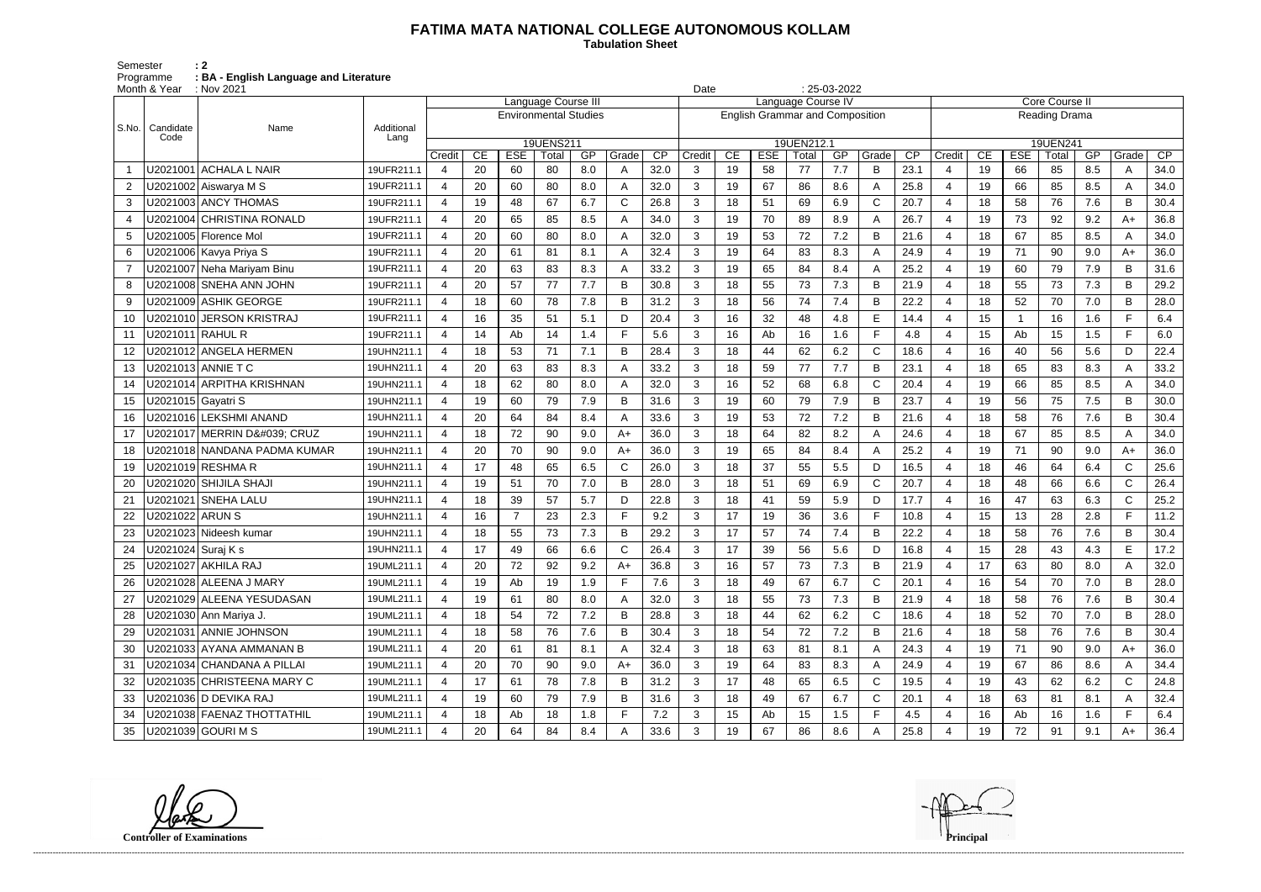## **FATIMA MATA NATIONAL COLLEGE AUTONOMOUS KOLLAM**

 **Tabulation Sheet** 

Semester : 2 Programme **: BA - English Language and Literature**

| $: 25-03-2022$<br>Month & Year<br>: Nov 2021<br>Date |                    |                              |            |                          |    |                              |                            |     |       |      |                |    |            |                                        |     |              |                 |                       |    |            |                       |     |              |      |
|------------------------------------------------------|--------------------|------------------------------|------------|--------------------------|----|------------------------------|----------------------------|-----|-------|------|----------------|----|------------|----------------------------------------|-----|--------------|-----------------|-----------------------|----|------------|-----------------------|-----|--------------|------|
|                                                      |                    |                              |            |                          |    |                              | <b>Language Course III</b> |     |       |      |                |    |            | Language Course IV                     |     |              |                 |                       |    |            | <b>Core Course II</b> |     |              |      |
| l S.No.                                              |                    |                              | Additional |                          |    | <b>Environmental Studies</b> |                            |     |       |      |                |    |            | <b>English Grammar and Composition</b> |     |              |                 |                       |    |            | Reading Drama         |     |              |      |
|                                                      | Candidate<br>Code  | Name                         | Lang       |                          |    |                              | 19UENS211                  |     |       |      |                |    |            | 19UEN212.1                             |     |              |                 |                       |    |            | 19UEN241              |     |              |      |
|                                                      |                    |                              |            | Credit                   | CE | <b>ESE</b>                   | Total                      | GP  | Grade | CP   | Credit         | CE | <b>ESE</b> | Total                                  | GP  | Grade        | $\overline{CP}$ | Credit                | CE | <b>ESE</b> | Total                 | GP  | Grade        | CP   |
|                                                      |                    | U2021001 ACHALA L NAIR       | 19UFR211.1 | $\overline{4}$           | 20 | 60                           | 80                         | 8.0 | A     | 32.0 | 3              | 19 | 58         | 77                                     | 7.7 | B            | 23.1            | $\overline{4}$        | 19 | 66         | 85                    | 8.5 | A            | 34.0 |
| 2                                                    |                    | U2021002 Aiswarya M S        | 19UFR211.1 | 4                        | 20 | 60                           | 80                         | 8.0 |       | 32.0 | 3              | 19 | 67         | 86                                     | 8.6 | A            | 25.8            | $\boldsymbol{4}$      | 19 | 66         | 85                    | 8.5 | A            | 34.0 |
| 3                                                    |                    | U2021003 ANCY THOMAS         | 19UFR211.1 | 4                        | 19 | 48                           | 67                         | 6.7 | С     | 26.8 | 3              | 18 | 51         | 69                                     | 6.9 | $\mathbf C$  | 20.7            | 4                     | 18 | 58         | 76                    | 7.6 | B            | 30.4 |
| 4                                                    |                    | U2021004 CHRISTINA RONALD    | 19UFR211.1 | 4                        | 20 | 65                           | 85                         | 8.5 |       | 34.0 | 3              | 19 | 70         | 89                                     | 8.9 | A            | 26.7            | 4                     | 19 | 73         | 92                    | 9.2 | $A+$         | 36.8 |
| 5                                                    |                    | U2021005 Florence Mol        | 19UFR211.1 | $\overline{4}$           | 20 | 60                           | 80                         | 8.0 |       | 32.0 | 3              | 19 | 53         | 72                                     | 7.2 | B            | 21.6            | 4                     | 18 | 67         | 85                    | 8.5 | A            | 34.0 |
| 6                                                    |                    | U2021006 Kavya Priya S       | 19UFR211.1 | 4                        | 20 | 61                           | 81                         | 8.1 |       | 32.4 | 3              | 19 | 64         | 83                                     | 8.3 | A            | 24.9            | $\boldsymbol{4}$      | 19 | 71         | 90                    | 9.0 | $A+$         | 36.0 |
| $\overline{7}$                                       |                    | U2021007 Neha Mariyam Binu   | 19UFR211.1 | 4                        | 20 | 63                           | 83                         | 8.3 |       | 33.2 | 3              | 19 | 65         | 84                                     | 8.4 | A            | 25.2            | 4                     | 19 | 60         | 79                    | 7.9 | B            | 31.6 |
| 8                                                    |                    | U2021008 SNEHA ANN JOHN      | 19UFR211.1 | 4                        | 20 | 57                           | 77                         | 7.7 | B     | 30.8 | 3              | 18 | 55         | 73                                     | 7.3 | B            | 21.9            | 4                     | 18 | 55         | 73                    | 7.3 | B            | 29.2 |
| 9                                                    |                    | U2021009 ASHIK GEORGE        | 19UFR211.1 | $\overline{4}$           | 18 | 60                           | 78                         | 7.8 | B     | 31.2 | 3              | 18 | 56         | 74                                     | 7.4 | B            | 22.2            | $\overline{4}$        | 18 | 52         | 70                    | 7.0 | B            | 28.0 |
| 10                                                   |                    | U2021010 JERSON KRISTRAJ     | 19UFR211.1 | 4                        | 16 | 35                           | 51                         | 5.1 | D     | 20.4 | 3              | 16 | 32         | 48                                     | 4.8 | E            | 14.4            | $\overline{4}$        | 15 |            | 16                    | 1.6 | F.           | 6.4  |
| 11                                                   | U2021011 RAHUL R   |                              | 19UFR211.1 | $\boldsymbol{\varDelta}$ | 14 | Ab                           | 14                         | 1.4 |       | 5.6  | 3              | 16 | Ab         | 16                                     | 1.6 | E            | 4.8             | $\boldsymbol{4}$      | 15 | Ab         | 15                    | 1.5 | E            | 6.0  |
| 12                                                   |                    | J2021012 ANGELA HERMEN       | 19UHN211.1 | 4                        | 18 | 53                           | 71                         | 7.1 | B     | 28.4 | 3              | 18 | 44         | 62                                     | 6.2 | $\mathsf C$  | 18.6            | $\boldsymbol{4}$      | 16 | 40         | 56                    | 5.6 | D            | 22.4 |
| 13                                                   |                    | U2021013 ANNIE T C           | 19UHN211.1 | 4                        | 20 | 63                           | 83                         | 8.3 | Α     | 33.2 | 3              | 18 | 59         | 77                                     | 7.7 | B            | 23.1            | $\overline{4}$        | 18 | 65         | 83                    | 8.3 | A            | 33.2 |
| 14                                                   |                    | U2021014 ARPITHA KRISHNAN    | 19UHN211.1 | 4                        | 18 | 62                           | 80                         | 8.0 | A     | 32.0 | 3              | 16 | 52         | 68                                     | 6.8 | C            | 20.4            | $\overline{4}$        | 19 | 66         | 85                    | 8.5 | A            | 34.0 |
| 15                                                   | U2021015 Gayatri S |                              | 19UHN211.1 | $\overline{4}$           | 19 | 60                           | 79                         | 7.9 | B     | 31.6 | 3              | 19 | 60         | 79                                     | 7.9 | B            | 23.7            | $\overline{4}$        | 19 | 56         | 75                    | 7.5 | B            | 30.0 |
| 16                                                   |                    | J2021016 LEKSHMI ANAND       | 19UHN211.1 | $\boldsymbol{\varDelta}$ | 20 | 64                           | 84                         | 8.4 |       | 33.6 | 3              | 19 | 53         | 72                                     | 7.2 | B            | 21.6            | $\boldsymbol{\Delta}$ | 18 | 58         | 76                    | 7.6 | B            | 30.4 |
| 17                                                   |                    | U2021017 MERRIN D' CRUZ      | 19UHN211.1 | 4                        | 18 | 72                           | 90                         | 9.0 | A+    | 36.0 | 3              | 18 | 64         | 82                                     | 8.2 | A            | 24.6            | 4                     | 18 | 67         | 85                    | 8.5 | A            | 34.0 |
| 18                                                   |                    | J2021018 NANDANA PADMA KUMAR | 19UHN211.1 | 4                        | 20 | 70                           | 90                         | 9.0 | $A+$  | 36.0 | 3              | 19 | 65         | 84                                     | 8.4 | A            | 25.2            | 4                     | 19 | 71         | 90                    | 9.0 | $A+$         | 36.0 |
| 19                                                   |                    | U2021019 RESHMA R            | 19UHN211.1 | $\overline{4}$           | 17 | 48                           | 65                         | 6.5 | С     | 26.0 | 3              | 18 | 37         | 55                                     | 5.5 | D            | 16.5            | $\overline{4}$        | 18 | 46         | 64                    | 6.4 | $\mathsf{C}$ | 25.6 |
| 20                                                   |                    | U2021020 SHIJILA SHAJI       | 19UHN211.1 | $\overline{4}$           | 19 | 51                           | 70                         | 7.0 | B     | 28.0 | 3              | 18 | 51         | 69                                     | 6.9 | $\mathsf C$  | 20.7            | $\overline{4}$        | 18 | 48         | 66                    | 6.6 | $\mathsf{C}$ | 26.4 |
| 21                                                   |                    | U2021021 SNEHA LALU          | 19UHN211.1 | $\boldsymbol{\varDelta}$ | 18 | 39                           | 57                         | 5.7 | D     | 22.8 | 3              | 18 | 41         | 59                                     | 5.9 | D            | 17.7            | $\boldsymbol{4}$      | 16 | 47         | 63                    | 6.3 | $\mathsf{C}$ | 25.2 |
| 22                                                   | U2021022 ARUN S    |                              | 19UHN211.1 | 4                        | 16 | $\overline{7}$               | 23                         | 2.3 |       | 9.2  | 3              | 17 | 19         | 36                                     | 3.6 | $\mathsf{F}$ | 10.8            | $\boldsymbol{4}$      | 15 | 13         | 28                    | 2.8 | F.           | 11.2 |
| 23                                                   |                    | U2021023 Nideesh kumar       | 19UHN211.1 | 4                        | 18 | 55                           | 73                         | 7.3 | B     | 29.2 | 3              | 17 | 57         | 74                                     | 7.4 | B            | 22.2            | 4                     | 18 | 58         | 76                    | 7.6 | B            | 30.4 |
| 24                                                   | U2021024 Suraj K s |                              | 19UHN211.1 | 4                        | 17 | 49                           | 66                         | 6.6 |       | 26.4 | 3              | 17 | 39         | 56                                     | 5.6 | D            | 16.8            | $\overline{4}$        | 15 | 28         | 43                    | 4.3 | E            | 17.2 |
| 25                                                   |                    | U2021027 AKHILA RAJ          | 19UML211.1 | 4                        | 20 | 72                           | 92                         | 9.2 | A+    | 36.8 | 3              | 16 | 57         | 73                                     | 7.3 | В            | 21.9            | 4                     | 17 | 63         | 80                    | 8.0 | A            | 32.0 |
| 26                                                   |                    | U2021028 ALEENA J MARY       | 19UML211.1 | $\overline{a}$           | 19 | Ab                           | 19                         | 1.9 |       | 7.6  | 3              | 18 | 49         | 67                                     | 6.7 | C            | 20.1            | 4                     | 16 | 54         | 70                    | 7.0 | B            | 28.0 |
| 27                                                   |                    | U2021029 ALEENA YESUDASAN    | 19UML211.1 | $\overline{4}$           | 19 | 61                           | 80                         | 8.0 | A     | 32.0 | 3              | 18 | 55         | 73                                     | 7.3 | В            | 21.9            | 4                     | 18 | 58         | 76                    | 7.6 | B            | 30.4 |
| 28                                                   |                    | U2021030 Ann Mariya J.       | 19UML211.1 | 4                        | 18 | 54                           | 72                         | 7.2 | B     | 28.8 | 3              | 18 | 44         | 62                                     | 6.2 | C            | 18.6            | 4                     | 18 | 52         | 70                    | 7.0 | B            | 28.0 |
| 29                                                   |                    | U2021031 ANNIE JOHNSON       | 19UML211.1 | 4                        | 18 | 58                           | 76                         | 7.6 | B     | 30.4 | 3              | 18 | 54         | 72                                     | 7.2 | B            | 21.6            | $\overline{4}$        | 18 | 58         | 76                    | 7.6 | B            | 30.4 |
| 30                                                   |                    | U2021033 AYANA AMMANAN B     | 19UML211.1 | 4                        | 20 | 61                           | 81                         | 8.1 | A     | 32.4 | 3              | 18 | 63         | 81                                     | 8.1 | A            | 24.3            | 4                     | 19 | 71         | 90                    | 9.0 | $A+$         | 36.0 |
| 31                                                   |                    | U2021034 CHANDANA A PILLAI   | 19UML211.1 | $\overline{4}$           | 20 | 70                           | 90                         | 9.0 | A+    | 36.0 | 3              | 19 | 64         | 83                                     | 8.3 | A            | 24.9            | $\overline{4}$        | 19 | 67         | 86                    | 8.6 | A            | 34.4 |
| 32                                                   |                    | U2021035 CHRISTEENA MARY C   | 19UML211.1 | $\overline{4}$           | 17 | 61                           | 78                         | 7.8 | B     | 31.2 | 3              | 17 | 48         | 65                                     | 6.5 | C            | 19.5            | 4                     | 19 | 43         | 62                    | 6.2 | $\mathsf{C}$ | 24.8 |
| 33                                                   |                    | U2021036 D DEVIKA RAJ        | 19UML211.1 | 4                        | 19 | 60                           | 79                         | 7.9 | B     | 31.6 | 3              | 18 | 49         | 67                                     | 6.7 | C            | 20.1            | 4                     | 18 | 63         | 81                    | 8.1 | A            | 32.4 |
| 34                                                   |                    | U2021038 FAENAZ THOTTATHIL   | 19UML211.1 | $\overline{4}$           | 18 | Ab                           | 18                         | 1.8 |       | 7.2  | 3              | 15 | Ab         | 15                                     | 1.5 | $\mathsf F$  | 4.5             | $\overline{4}$        | 16 | Ab         | 16                    | 1.6 | E            | 6.4  |
| 35                                                   |                    | U2021039 GOURI M S           | 19UML211.1 | 4                        | 20 | 64                           | 84                         | 8.4 |       | 33.6 | 3 <sup>1</sup> | 19 | 67         | 86                                     | 8.6 |              | 25.8            | 4                     | 19 | 72         | 91                    | 9.1 | $A+$         | 36.4 |

**Controller of Examinations**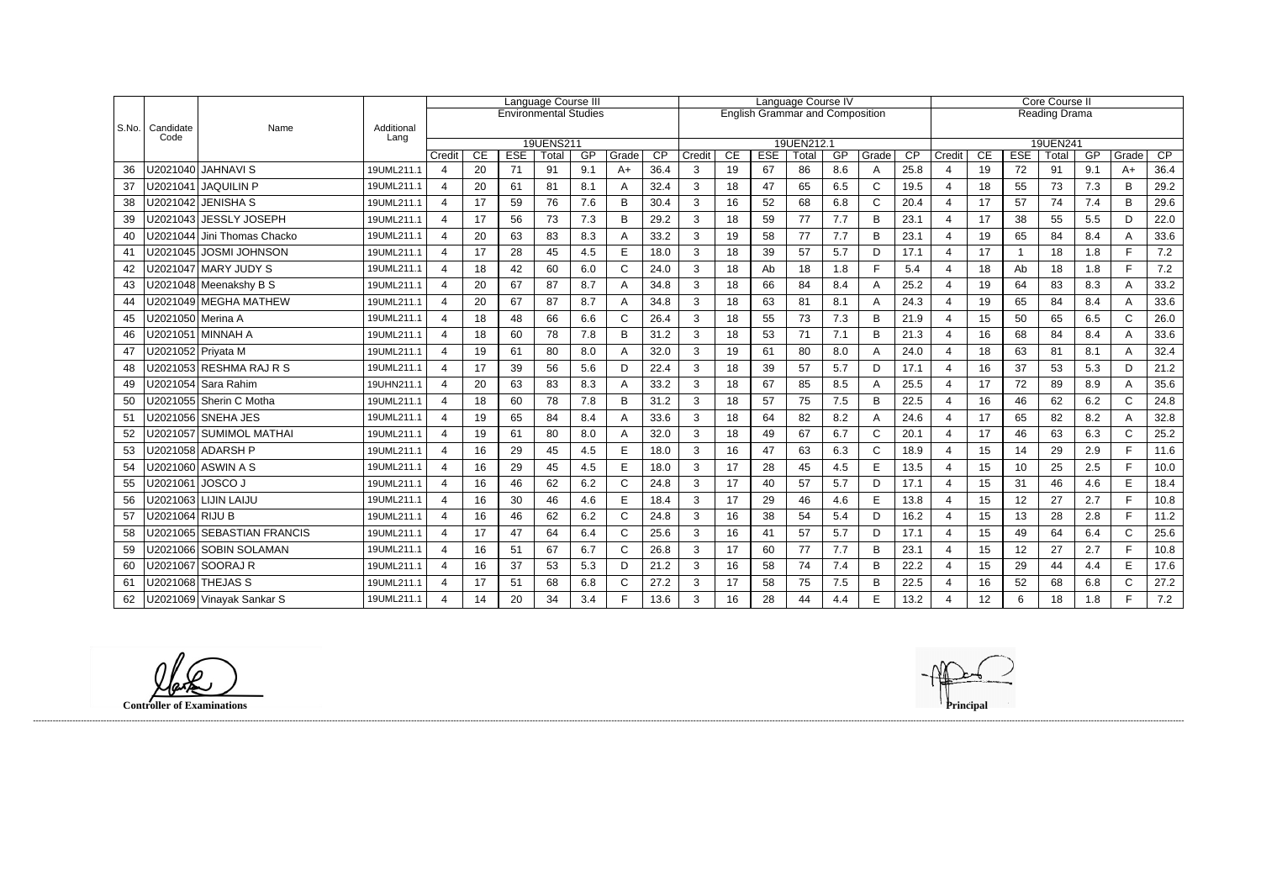|       |                   |                               | Language Course III |                         |                 |                              |             |           | Language Course IV |                         |             |          |                  |                                        |           | Core Course II |                 |                  |                 |                  |               |           |               |                         |
|-------|-------------------|-------------------------------|---------------------|-------------------------|-----------------|------------------------------|-------------|-----------|--------------------|-------------------------|-------------|----------|------------------|----------------------------------------|-----------|----------------|-----------------|------------------|-----------------|------------------|---------------|-----------|---------------|-------------------------|
|       |                   |                               |                     |                         |                 | <b>Environmental Studies</b> |             |           |                    |                         |             |          |                  | <b>English Grammar and Composition</b> |           |                |                 |                  |                 |                  | Reading Drama |           |               |                         |
| S.No. | Candidate<br>Code | Name                          | Additional<br>Lang  |                         |                 |                              |             |           |                    |                         |             |          |                  |                                        |           |                |                 |                  |                 |                  |               |           |               |                         |
|       |                   |                               |                     |                         |                 |                              | 19UENS211   |           |                    |                         |             |          |                  | 19UEN212.1                             |           |                | $\overline{CP}$ |                  |                 |                  | 19UEN241      |           |               |                         |
| 36    | U2021040          | <b>JAHNAVIS</b>               | 19UML211.1          | Credit<br>4             | <b>CE</b><br>20 | <b>ESE</b><br>71             | Total<br>91 | GP<br>9.1 | Grade<br>$A+$      | $\overline{CP}$<br>36.4 | Credit<br>3 | CE<br>19 | <b>ESE</b><br>67 | Total<br>86                            | GP<br>8.6 | Grade<br>A     | 25.8            | Credit<br>4      | <b>CE</b><br>19 | <b>ESE</b><br>72 | Total<br>91   | GP<br>9.1 | Grade<br>$A+$ | $\overline{CP}$<br>36.4 |
| 37    | U2021041          | <b>JAQUILIN P</b>             | 19UML211.1          | 4                       | 20              | 61                           | 81          | 8.1       | A                  | 32.4                    | 3           | 18       | 47               | 65                                     | 6.5       | $\mathsf{C}$   | 19.5            | 4                | 18              | 55               | 73            | 7.3       | B             | 29.2                    |
| 38    |                   | U2021042   JENISHA S          | 19UML211.1          | 4                       | 17              | 59                           | 76          | 7.6       | B                  | 30.4                    | 3           | 16       | 52               | 68                                     | 6.8       | $\mathsf{C}$   | 20.4            | $\overline{4}$   | 17              | 57               | 74            | 7.4       | B             | 29.6                    |
|       | U2021043          | <b>JESSLY JOSEPH</b>          | 19UML211.1          | 4                       | 17              |                              | 73          | 7.3       | B                  | 29.2                    | 3           | 18       | 59               | 77                                     | 7.7       | B              | 23.1            | $\overline{4}$   | 17              | 38               |               | 5.5       | D             | 22.0                    |
| 39    |                   |                               |                     |                         |                 | 56                           |             |           |                    |                         |             |          |                  |                                        |           |                |                 |                  |                 |                  | 55            |           |               |                         |
| 40    |                   | U2021044   Jini Thomas Chacko | 19UML211.1          | $\overline{4}$          | 20              | 63                           | 83          | 8.3       | А                  | 33.2                    | 3           | 19       | 58               | 77                                     | 7.7       | B              | 23.1            | $\overline{4}$   | 19              | 65               | 84            | 8.4       | A<br>F.       | 33.6                    |
| 41    |                   | U2021045   JOSMI JOHNSON      | 19UML211.1          | 4                       | 17              | 28                           | 45          | 4.5       | E                  | 18.0                    | 3           | 18       | 39               | 57                                     | 5.7       | D              | 17.1            | $\overline{4}$   | 17              | -1               | 18            | 1.8       |               | 7.2                     |
| 42    |                   | U2021047   MARY JUDY S        | 19UML211.1          | $\overline{\mathbf{4}}$ | 18              | 42                           | 60          | 6.0       | $\mathsf{C}$       | 24.0                    | 3           | 18       | Ab               | 18                                     | 1.8       | $\mathsf{F}$   | 5.4             | 4                | 18              | Ab               | 18            | 1.8       | F.            | 7.2                     |
| 43    |                   | U2021048 Meenakshy B S        | 19UML211.1          | $\overline{4}$          | 20              | 67                           | 87          | 8.7       |                    | 34.8                    | 3           | 18       | 66               | 84                                     | 8.4       | A              | 25.2            | $\overline{4}$   | 19              | 64               | 83            | 8.3       | A             | 33.2                    |
| 44    |                   | U2021049 MEGHA MATHEW         | 19UML211.1          | 4                       | 20              | 67                           | 87          | 8.7       | А                  | 34.8                    | 3           | 18       | 63               | 81                                     | 8.1       | A              | 24.3            | $\boldsymbol{4}$ | 19              | 65               | 84            | 8.4       | A             | 33.6                    |
| 45    |                   | U2021050   Merina A           | 19UML211.1          | $\overline{4}$          | 18              | 48                           | 66          | 6.6       | $\mathsf{C}$       | 26.4                    | 3           | 18       | 55               | 73                                     | 7.3       | B              | 21.9            | $\overline{4}$   | 15              | 50               | 65            | 6.5       | $\mathsf{C}$  | 26.0                    |
| 46    |                   | U2021051   MINNAH A           | 19UML211.1          | 4                       | 18              | 60                           | 78          | 7.8       | B                  | 31.2                    | 3           | 18       | 53               | 71                                     | 7.1       | B              | 21.3            | $\overline{4}$   | 16              | 68               | 84            | 8.4       | A             | 33.6                    |
| 47    |                   | U2021052 Priyata M            | 19UML211.1          | 4                       | 19              | 61                           | 80          | 8.0       | Α                  | 32.0                    | 3           | 19       | 61               | 80                                     | 8.0       | $\overline{A}$ | 24.0            | $\overline{4}$   | 18              | 63               | 81            | 8.1       | Α             | 32.4                    |
| 48    |                   | U2021053 RESHMA RAJ R S       | 19UML211.1          | $\overline{4}$          | 17              | 39                           | 56          | 5.6       | D                  | 22.4                    | 3           | 18       | 39               | 57                                     | 5.7       | D              | 17.1            | $\overline{4}$   | 16              | 37               | 53            | 5.3       | D             | 21.2                    |
| 49    |                   | U2021054 Sara Rahim           | 19UHN211.1          | 4                       | 20              | 63                           | 83          | 8.3       | Α                  | 33.2                    | 3           | 18       | 67               | 85                                     | 8.5       | A              | 25.5            | $\overline{4}$   | 17              | 72               | 89            | 8.9       | A             | 35.6                    |
| 50    |                   | U2021055 Sherin C Motha       | 19UML211.1          | $\overline{4}$          | 18              | 60                           | 78          | 7.8       | B                  | 31.2                    | 3           | 18       | 57               | 75                                     | 7.5       | B              | 22.5            | $\overline{4}$   | 16              | 46               | 62            | 6.2       | $\mathsf{C}$  | 24.8                    |
| 51    |                   | J2021056 SNEHA JES            | 19UML211.1          | 4                       | 19              | 65                           | 84          | 8.4       | А                  | 33.6                    | 3           | 18       | 64               | 82                                     | 8.2       | A              | 24.6            | 4                | 17              | 65               | 82            | 8.2       | A             | 32.8                    |
| 52    |                   | U2021057 SUMIMOL MATHAI       | 19UML211.1          | 4                       | 19              | 61                           | 80          | 8.0       | A                  | 32.0                    | 3           | 18       | 49               | 67                                     | 6.7       | $\mathsf{C}$   | 20.1            | $\overline{4}$   | 17              | 46               | 63            | 6.3       | $\mathsf{C}$  | 25.2                    |
| 53    |                   | U2021058 ADARSH P             | 19UML211.1          | $\overline{4}$          | 16              | 29                           | 45          | 4.5       | E                  | 18.0                    | 3           | 16       | 47               | 63                                     | 6.3       | $\mathsf{C}$   | 18.9            | $\overline{4}$   | 15              | 14               | 29            | 2.9       | F.            | 11.6                    |
| 54    |                   | U2021060 ASWIN A S            | 19UML211.1          | $\boldsymbol{\Delta}$   | 16              | 29                           | 45          | 4.5       | E                  | 18.0                    | 3           | 17       | 28               | 45                                     | 4.5       | E              | 13.5            | $\overline{4}$   | 15              | 10               | 25            | 2.5       | F             | 10.0                    |
| 55    |                   | U2021061   JOSCO J            | 19UML211.1          | $\overline{4}$          | 16              | 46                           | 62          | 6.2       | $\mathsf{C}$       | 24.8                    | 3           | 17       | 40               | 57                                     | 5.7       | D              | 17.1            | $\overline{4}$   | 15              | 31               | 46            | 4.6       | E             | 18.4                    |
| 56    |                   | U2021063   LIJIN LAIJU        | 19UML211.1          | $\overline{\mathbf{4}}$ | 16              | 30                           | 46          | 4.6       | E                  | 18.4                    | 3           | 17       | 29               | 46                                     | 4.6       | E              | 13.8            | $\overline{4}$   | 15              | 12               | 27            | 2.7       | F             | 10.8                    |
| 57    | U2021064 RIJU B   |                               | 19UML211.1          | 4                       | 16              | 46                           | 62          | 6.2       | $\mathsf{C}$       | 24.8                    | 3           | 16       | 38               | 54                                     | 5.4       | D              | 16.2            | $\overline{4}$   | 15              | 13               | 28            | 2.8       | F.            | 11.2                    |
| 58    |                   | U2021065 SEBASTIAN FRANCIS    | 19UML211.1          | 4                       | 17              | 47                           | 64          | 6.4       | $\mathsf{C}$       | 25.6                    | 3           | 16       | 41               | 57                                     | 5.7       | D              | 17.1            | $\overline{4}$   | 15              | 49               | 64            | 6.4       | $\mathsf{C}$  | 25.6                    |
| 59    |                   | U2021066 SOBIN SOLAMAN        | 19UML211.1          | 4                       | 16              | 51                           | 67          | 6.7       | $\mathsf{C}$       | 26.8                    | 3           | 17       | 60               | 77                                     | 7.7       | B              | 23.1            | $\overline{4}$   | 15              | 12               | 27            | 2.7       | F             | 10.8                    |
| 60    |                   | U2021067 SOORAJ R             | 19UML211.1          | $\overline{4}$          | 16              | 37                           | 53          | 5.3       | D                  | 21.2                    | 3           | 16       | 58               | 74                                     | 7.4       | B              | 22.2            | $\overline{4}$   | 15              | 29               | 44            | 4.4       | E             | 17.6                    |
| 61    |                   | U2021068 THEJAS S             | 19UML211.1          | 4                       | 17              | 51                           | 68          | 6.8       | C                  | 27.2                    | 3           | 17       | 58               | 75                                     | 7.5       | B              | 22.5            | $\overline{4}$   | 16              | 52               | 68            | 6.8       | $\mathsf{C}$  | 27.2                    |
| 62    |                   | U2021069 Vinayak Sankar S     | 19UML211.1          | 4                       | 14              | 20                           | 34          | 3.4       | E                  | 13.6                    | 3           | 16       | 28               | 44                                     | 4.4       | E              | 13.2            | $\overline{4}$   | 12              | 6                | 18            | 1.8       | F.            | 7.2                     |

**Controller of Examinations Principal**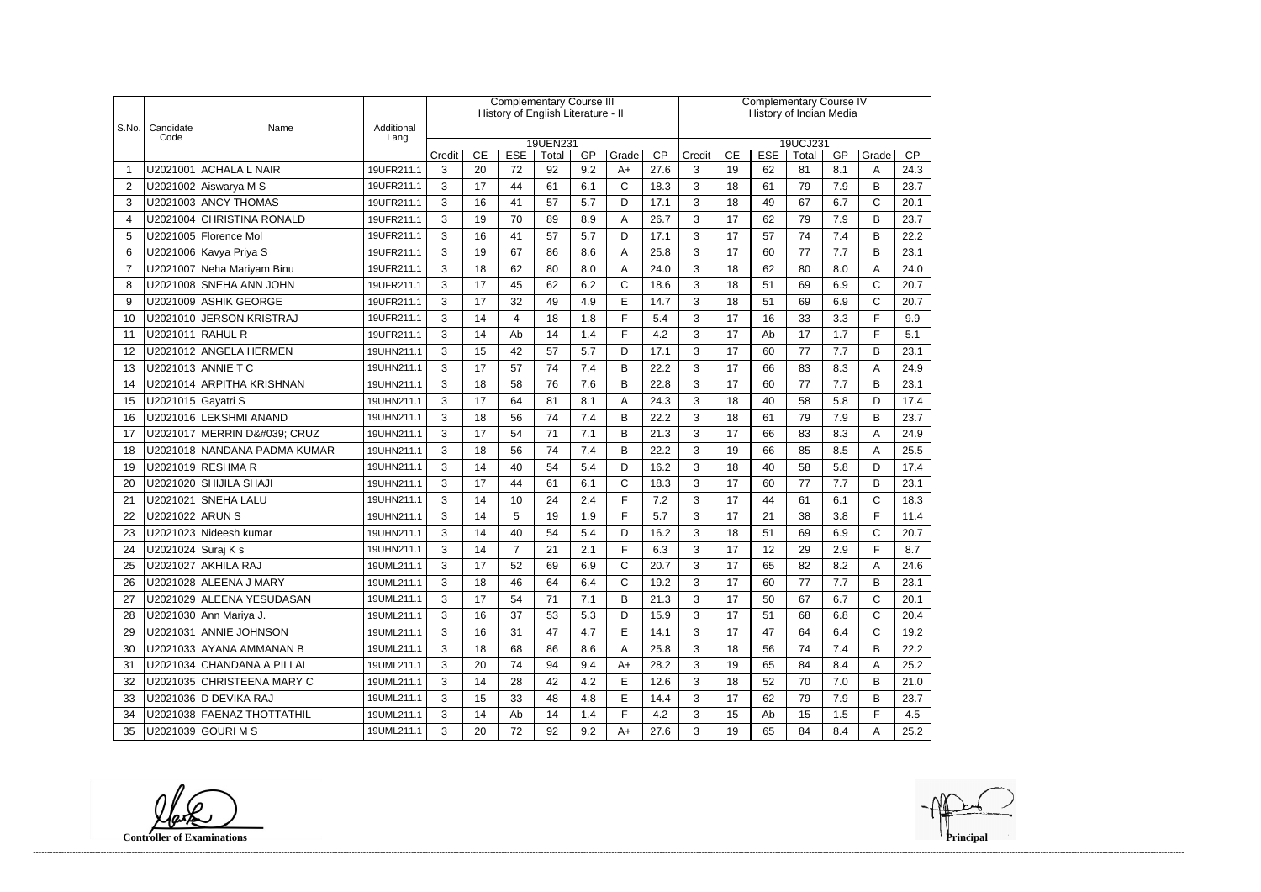|                |                    |                              |                    | <b>Complementary Course III</b> |    |                |                                    |     |              |                                | <b>Complementary Course IV</b> |                                                            |    |    |     |              |      |  |  |
|----------------|--------------------|------------------------------|--------------------|---------------------------------|----|----------------|------------------------------------|-----|--------------|--------------------------------|--------------------------------|------------------------------------------------------------|----|----|-----|--------------|------|--|--|
|                |                    |                              |                    |                                 |    |                | History of English Literature - II |     |              | <b>History of Indian Media</b> |                                |                                                            |    |    |     |              |      |  |  |
| S.No.          | Candidate<br>Code  | Name                         | Additional<br>Lang |                                 |    |                |                                    |     |              |                                |                                |                                                            |    |    |     |              |      |  |  |
|                |                    |                              |                    | Credit                          | CE | <b>ESE</b>     | 19UEN231                           | GP  | Grade        | CP                             | Credit                         | 19UCJ231<br><b>ESE</b><br>CP<br>CE<br>GP<br>Grade<br>Total |    |    |     |              |      |  |  |
|                |                    | U2021001 ACHALA L NAIR       | 19UFR211.1         | 3                               | 20 | 72             | Total<br>92                        | 9.2 | $A+$         | 27.6                           | 3                              | 19                                                         | 62 | 81 | 8.1 | A            | 24.3 |  |  |
| $\overline{2}$ |                    | U2021002 Aiswarya M S        | 19UFR211.1         | 3                               | 17 | 44             | 61                                 | 6.1 | $\mathsf{C}$ | 18.3                           | 3                              | 18                                                         | 61 | 79 | 7.9 | B            | 23.7 |  |  |
| 3              |                    | U2021003 ANCY THOMAS         | 19UFR211.1         | 3                               | 16 | 41             | 57                                 | 5.7 | D            | 17.1                           | 3                              | 18                                                         | 49 | 67 | 6.7 | C            | 20.1 |  |  |
| $\overline{4}$ |                    | U2021004 CHRISTINA RONALD    | 19UFR211.1         | 3                               | 19 | 70             | 89                                 | 8.9 | A            | 26.7                           | 3                              | 17                                                         | 62 | 79 | 7.9 | B            | 23.7 |  |  |
| 5              |                    | U2021005 Florence Mol        | 19UFR211.1         | 3                               | 16 | 41             | 57                                 | 5.7 | D            | 17.1                           | 3                              | 17                                                         | 57 | 74 | 7.4 | B            | 22.2 |  |  |
| 6              |                    | U2021006 Kavya Priya S       | 19UFR211.1         | 3                               | 19 | 67             | 86                                 | 8.6 | A            | 25.8                           | 3                              | 17                                                         | 60 | 77 | 7.7 | B            | 23.1 |  |  |
| $\overline{7}$ |                    | U2021007 Neha Mariyam Binu   | 19UFR211.1         | 3                               | 18 | 62             | 80                                 | 8.0 | A            | 24.0                           | 3                              | 18                                                         | 62 | 80 | 8.0 | Α            | 24.0 |  |  |
| 8              |                    | U2021008 SNEHA ANN JOHN      | 19UFR211.1         | 3                               | 17 | 45             | 62                                 | 6.2 | $\mathsf{C}$ | 18.6                           | 3                              | 18                                                         | 51 | 69 | 6.9 | C            | 20.7 |  |  |
| 9              |                    | U2021009 ASHIK GEORGE        | 19UFR211.1         | 3                               | 17 | 32             | 49                                 | 4.9 | E            | 14.7                           | 3                              | 18                                                         | 51 | 69 | 6.9 | C            | 20.7 |  |  |
| 10             |                    | U2021010 JERSON KRISTRAJ     | 19UFR211.1         | 3                               | 14 | 4              | 18                                 | 1.8 | F            | 5.4                            | 3                              | 17                                                         | 16 | 33 | 3.3 | F            | 9.9  |  |  |
| 11             | U2021011 RAHUL R   |                              | 19UFR211.1         | 3                               | 14 | Ab             | 14                                 | 1.4 | F            | 4.2                            | 3                              | 17                                                         | Ab | 17 | 1.7 | F            | 5.1  |  |  |
| 12             |                    | U2021012 ANGELA HERMEN       | 19UHN211.1         | 3                               | 15 | 42             | 57                                 | 5.7 | D            | 17.1                           | 3                              | 17                                                         | 60 | 77 | 7.7 | B            | 23.1 |  |  |
| 13             |                    | U2021013 ANNIE T C           | 19UHN211.1         | 3                               | 17 | 57             | 74                                 | 7.4 | B            | 22.2                           | 3                              | 17                                                         | 66 | 83 | 8.3 | Α            | 24.9 |  |  |
| 14             |                    | U2021014 ARPITHA KRISHNAN    | 19UHN211.1         | 3                               | 18 | 58             | 76                                 | 7.6 | B            | 22.8                           | 3                              | 17                                                         | 60 | 77 | 7.7 | B            | 23.1 |  |  |
| 15             | U2021015 Gayatri S |                              | 19UHN211.1         | 3                               | 17 | 64             | 81                                 | 8.1 | A            | 24.3                           | 3                              | 18                                                         | 40 | 58 | 5.8 | D            | 17.4 |  |  |
| 16             |                    | U2021016 LEKSHMI ANAND       | 19UHN211.1         | 3                               | 18 | 56             | 74                                 | 7.4 | B            | 22.2                           | 3                              | 18                                                         | 61 | 79 | 7.9 | B            | 23.7 |  |  |
| 17             |                    | U2021017 MERRIN D' CRUZ      | 19UHN211.1         | 3                               | 17 | 54             | 71                                 | 7.1 | B            | 21.3                           | 3                              | 17                                                         | 66 | 83 | 8.3 | Α            | 24.9 |  |  |
| 18             |                    | U2021018 NANDANA PADMA KUMAR | 19UHN211.1         | 3                               | 18 | 56             | 74                                 | 7.4 | B            | 22.2                           | 3                              | 19                                                         | 66 | 85 | 8.5 | Α            | 25.5 |  |  |
| 19             |                    | U2021019 RESHMA R            | 19UHN211.1         | 3                               | 14 | 40             | 54                                 | 5.4 | D            | 16.2                           | 3                              | 18                                                         | 40 | 58 | 5.8 | D            | 17.4 |  |  |
| 20             |                    | U2021020 SHIJILA SHAJI       | 19UHN211.1         | 3                               | 17 | 44             | 61                                 | 6.1 | $\mathsf{C}$ | 18.3                           | 3                              | 17                                                         | 60 | 77 | 7.7 | B            | 23.1 |  |  |
| 21             |                    | U2021021 SNEHA LALU          | 19UHN211.1         | 3                               | 14 | 10             | 24                                 | 2.4 | F            | 7.2                            | 3                              | 17                                                         | 44 | 61 | 6.1 | $\mathsf{C}$ | 18.3 |  |  |
| 22             | U2021022 ARUN S    |                              | 19UHN211.1         | 3                               | 14 | 5              | 19                                 | 1.9 | F            | 5.7                            | 3                              | 17                                                         | 21 | 38 | 3.8 | F            | 11.4 |  |  |
| 23             |                    | U2021023 Nideesh kumar       | 19UHN211.1         | 3                               | 14 | 40             | 54                                 | 5.4 | D            | 16.2                           | 3                              | 18                                                         | 51 | 69 | 6.9 | $\mathsf{C}$ | 20.7 |  |  |
| 24             | U2021024 Suraj K s |                              | 19UHN211.1         | 3                               | 14 | $\overline{7}$ | 21                                 | 2.1 | E            | 6.3                            | 3                              | 17                                                         | 12 | 29 | 2.9 | F            | 8.7  |  |  |
| 25             |                    | U2021027 AKHILA RAJ          | 19UML211.1         | 3                               | 17 | 52             | 69                                 | 6.9 | $\cap$       | 20.7                           | 3                              | 17                                                         | 65 | 82 | 8.2 | Δ            | 24.6 |  |  |
| 26             |                    | U2021028 ALEENA J MARY       | 19UML211.1         | 3                               | 18 | 46             | 64                                 | 6.4 | $\mathsf{C}$ | 19.2                           | 3                              | 17                                                         | 60 | 77 | 7.7 | В            | 23.1 |  |  |
| 27             |                    | U2021029 ALEENA YESUDASAN    | 19UML211.1         | 3                               | 17 | 54             | 71                                 | 7.1 | B            | 21.3                           | 3                              | 17                                                         | 50 | 67 | 6.7 | C            | 20.1 |  |  |
| 28             |                    | U2021030 Ann Mariya J.       | 19UML211.1         | 3                               | 16 | 37             | 53                                 | 5.3 | D            | 15.9                           | 3                              | 17                                                         | 51 | 68 | 6.8 | C            | 20.4 |  |  |
| 29             |                    | U2021031 ANNIE JOHNSON       | 19UML211.1         | 3                               | 16 | 31             | 47                                 | 4.7 | E            | 14.1                           | 3                              | 17                                                         | 47 | 64 | 6.4 | $\mathsf{C}$ | 19.2 |  |  |
| 30             |                    | U2021033 AYANA AMMANAN B     | 19UML211.1         | 3                               | 18 | 68             | 86                                 | 8.6 | A            | 25.8                           | 3                              | 18                                                         | 56 | 74 | 7.4 | B            | 22.2 |  |  |
| 31             |                    | U2021034 CHANDANA A PILLAI   | 19UML211.1         | 3                               | 20 | 74             | 94                                 | 9.4 | $A+$         | 28.2                           | 3                              | 19                                                         | 65 | 84 | 8.4 | A            | 25.2 |  |  |
| 32             |                    | U2021035 CHRISTEENA MARY C   | 19UML211.1         | 3                               | 14 | 28             | 42                                 | 4.2 | Е            | 12.6                           | 3                              | 18                                                         | 52 | 70 | 7.0 | B            | 21.0 |  |  |
| 33             |                    | U2021036 D DEVIKA RAJ        | 19UML211.1         | 3                               | 15 | 33             | 48                                 | 4.8 | $\mathsf E$  | 14.4                           | 3                              | 17                                                         | 62 | 79 | 7.9 | В            | 23.7 |  |  |
| 34             |                    | U2021038 FAENAZ THOTTATHIL   | 19UML211.1         | 3                               | 14 | Ab             | 14                                 | 1.4 | F.           | 4.2                            | 3                              | 15                                                         | Ab | 15 | 1.5 | F            | 4.5  |  |  |
| 35             |                    | U2021039 GOURI M S           | 19UML211.1         | 3                               | 20 | 72             | 92                                 | 9.2 | A+           | 27.6                           | 3                              | 19                                                         | 65 | 84 | 8.4 | A            | 25.2 |  |  |

**Controller of Examinations** 

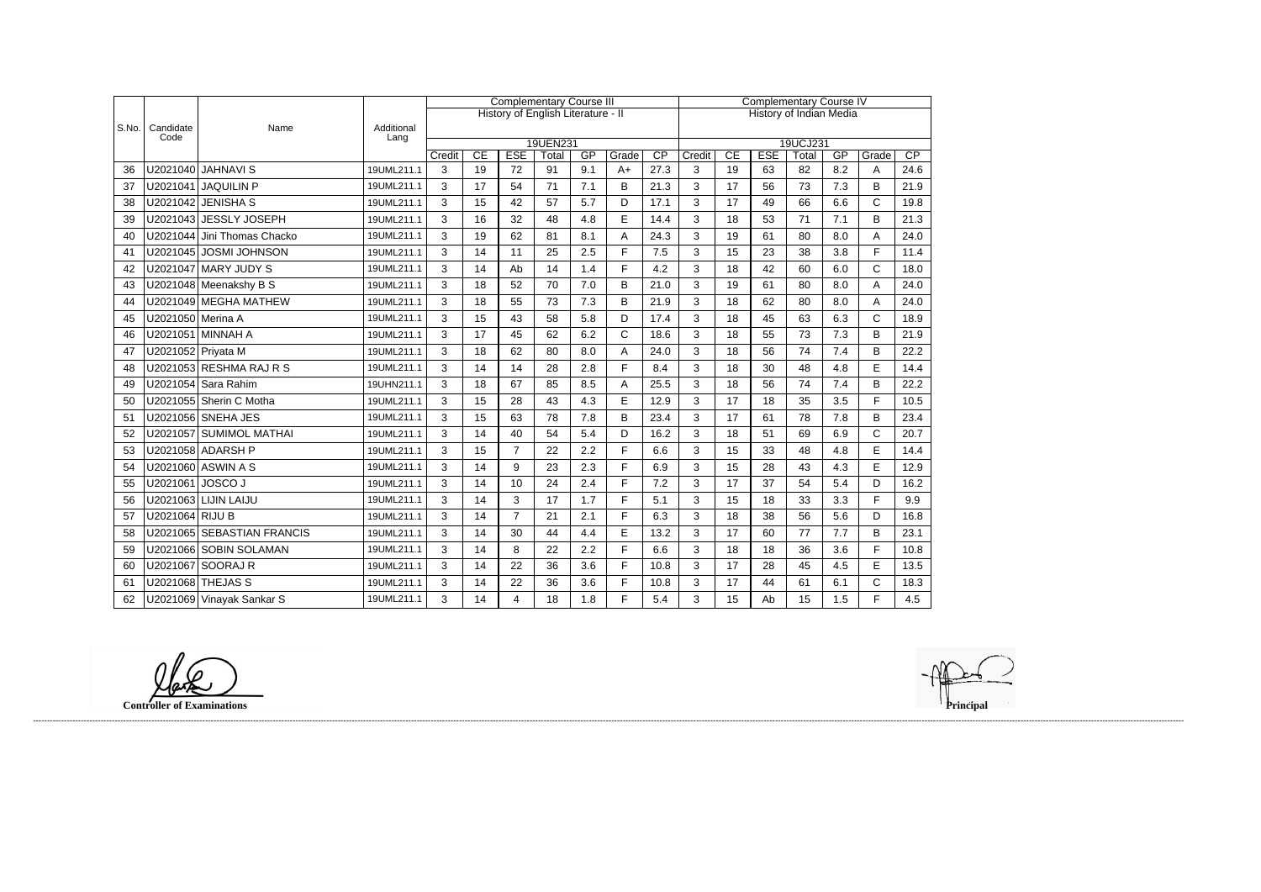|       |                    |                            |                    | <b>Complementary Course III</b> |    |                |                                    |     |              |                                |        |                                |            |          |     |              |      |  |
|-------|--------------------|----------------------------|--------------------|---------------------------------|----|----------------|------------------------------------|-----|--------------|--------------------------------|--------|--------------------------------|------------|----------|-----|--------------|------|--|
|       |                    |                            |                    |                                 |    |                |                                    |     |              | <b>Complementary Course IV</b> |        |                                |            |          |     |              |      |  |
|       |                    |                            |                    |                                 |    |                | History of English Literature - II |     |              |                                |        | <b>History of Indian Media</b> |            |          |     |              |      |  |
| S.No. | Candidate<br>Code  | Name                       | Additional<br>Lang |                                 |    |                |                                    |     |              |                                |        |                                |            |          |     |              |      |  |
|       |                    |                            |                    |                                 |    |                | 19UEN231                           |     |              |                                |        |                                |            | 19UCJ231 |     |              |      |  |
|       |                    |                            |                    | Credit                          | CE | <b>ESE</b>     | Total                              | GP  | Grade        | CP                             | Credit | CE                             | <b>ESE</b> | Total    | GP  | Grade        | CP   |  |
| 36    | U2021040           | <b>JAHNAVI S</b>           | 19UML211.1         | 3                               | 19 | 72             | 91                                 | 9.1 | $A+$         | 27.3                           | 3      | 19                             | 63         | 82       | 8.2 | A            | 24.6 |  |
| 37    | U2021041           | <b>JAQUILIN P</b>          | 19UML211.1         | 3                               | 17 | 54             | 71                                 | 7.1 | B            | 21.3                           | 3      | 17                             | 56         | 73       | 7.3 | B            | 21.9 |  |
| 38    | U2021042           | <b>JENISHA S</b>           | 19UML211.1         | 3                               | 15 | 42             | 57                                 | 5.7 | D            | 17.1                           | 3      | 17                             | 49         | 66       | 6.6 | $\mathsf{C}$ | 19.8 |  |
| 39    | U2021043           | <b>JESSLY JOSEPH</b>       | 19UML211.1         | 3                               | 16 | 32             | 48                                 | 4.8 | E            | 14.4                           | 3      | 18                             | 53         | 71       | 7.1 | B            | 21.3 |  |
| 40    | U2021044           | Jini Thomas Chacko         | 19UML211.1         | 3                               | 19 | 62             | 81                                 | 8.1 | A            | 24.3                           | 3      | 19                             | 61         | 80       | 8.0 | A            | 24.0 |  |
| 41    | U2021045           | <b>JOSMI JOHNSON</b>       | 19UML211.1         | 3                               | 14 | 11             | 25                                 | 2.5 | F            | 7.5                            | 3      | 15                             | 23         | 38       | 3.8 | E            | 11.4 |  |
| 42    |                    | U2021047 MARY JUDY S       | 19UML211.1         | 3                               | 14 | Ab             | 14                                 | 1.4 | F.           | 4.2                            | 3      | 18                             | 42         | 60       | 6.0 | $\mathsf{C}$ | 18.0 |  |
| 43    |                    | U2021048 Meenakshy B S     | 19UML211.1         | 3                               | 18 | 52             | 70                                 | 7.0 | B            | 21.0                           | 3      | 19                             | 61         | 80       | 8.0 | A            | 24.0 |  |
| 44    |                    | U2021049 MEGHA MATHEW      | 19UML211.1         | $\mathfrak{S}$                  | 18 | 55             | 73                                 | 7.3 | B            | 21.9                           | 3      | 18                             | 62         | 80       | 8.0 | A            | 24.0 |  |
| 45    | U2021050 Merina A  |                            | 19UML211.1         | 3                               | 15 | 43             | 58                                 | 5.8 | D            | 17.4                           | 3      | 18                             | 45         | 63       | 6.3 | $\mathsf{C}$ | 18.9 |  |
| 46    |                    | U2021051 MINNAH A          | 19UML211.1         | 3                               | 17 | 45             | 62                                 | 6.2 | $\mathsf{C}$ | 18.6                           | 3      | 18                             | 55         | 73       | 7.3 | B            | 21.9 |  |
| 47    | U2021052 Priyata M |                            | 19UML211.1         | 3                               | 18 | 62             | 80                                 | 8.0 | A            | 24.0                           | 3      | 18                             | 56         | 74       | 7.4 | B            | 22.2 |  |
| 48    |                    | U2021053 RESHMA RAJ R S    | 19UML211.1         | 3                               | 14 | 14             | 28                                 | 2.8 | F            | 8.4                            | 3      | 18                             | 30         | 48       | 4.8 | E            | 14.4 |  |
| 49    | U2021054           | Sara Rahim                 | 19UHN211.1         | 3                               | 18 | 67             | 85                                 | 8.5 | Α            | 25.5                           | 3      | 18                             | 56         | 74       | 7.4 | B            | 22.2 |  |
| 50    |                    | U2021055 Sherin C Motha    | 19UML211.1         | 3                               | 15 | 28             | 43                                 | 4.3 | E            | 12.9                           | 3      | 17                             | 18         | 35       | 3.5 | F            | 10.5 |  |
| 51    |                    | U2021056 SNEHA JES         | 19UML211.1         | 3                               | 15 | 63             | 78                                 | 7.8 | B            | 23.4                           | 3      | 17                             | 61         | 78       | 7.8 | B            | 23.4 |  |
| 52    |                    | U2021057 SUMIMOL MATHAI    | 19UML211.1         | $\mathfrak{S}$                  | 14 | 40             | 54                                 | 5.4 | D            | 16.2                           | 3      | 18                             | 51         | 69       | 6.9 | $\mathsf C$  | 20.7 |  |
| 53    |                    | U2021058 ADARSH P          | 19UML211.1         | 3                               | 15 | $\overline{7}$ | 22                                 | 2.2 | F            | 6.6                            | 3      | 15                             | 33         | 48       | 4.8 | $\mathsf E$  | 14.4 |  |
| 54    |                    | U2021060 ASWIN A S         | 19UML211.1         | 3                               | 14 | 9              | 23                                 | 2.3 | F.           | 6.9                            | 3      | 15                             | 28         | 43       | 4.3 | E            | 12.9 |  |
| 55    | U2021061           | <b>JOSCO J</b>             | 19UML211.1         | 3                               | 14 | 10             | 24                                 | 2.4 | F.           | 7.2                            | 3      | 17                             | 37         | 54       | 5.4 | D            | 16.2 |  |
| 56    |                    | U2021063 LIJIN LAIJU       | 19UML211.1         | 3                               | 14 | 3              | 17                                 | 1.7 | F            | 5.1                            | 3      | 15                             | 18         | 33       | 3.3 | F            | 9.9  |  |
| 57    | U2021064 RIJU B    |                            | 19UML211.1         | 3                               | 14 | $\overline{7}$ | 21                                 | 2.1 | F            | 6.3                            | 3      | 18                             | 38         | 56       | 5.6 | D            | 16.8 |  |
| 58    |                    | U2021065 SEBASTIAN FRANCIS | 19UML211.1         | 3                               | 14 | 30             | 44                                 | 4.4 | E            | 13.2                           | 3      | 17                             | 60         | 77       | 7.7 | B            | 23.1 |  |
| 59    |                    | U2021066 SOBIN SOLAMAN     | 19UML211.1         | 3                               | 14 | 8              | 22                                 | 2.2 | F.           | 6.6                            | 3      | 18                             | 18         | 36       | 3.6 | F            | 10.8 |  |
| 60    |                    | U2021067 SOORAJ R          | 19UML211.1         | 3                               | 14 | 22             | 36                                 | 3.6 | F            | 10.8                           | 3      | 17                             | 28         | 45       | 4.5 | E            | 13.5 |  |
| 61    | U2021068           | <b>THEJAS S</b>            | 19UML211.1         | 3                               | 14 | 22             | 36                                 | 3.6 | F.           | 10.8                           | 3      | 17                             | 44         | 61       | 6.1 | $\mathsf{C}$ | 18.3 |  |
| 62    |                    | U2021069 Vinayak Sankar S  | 19UML211.1         | 3                               | 14 | 4              | 18                                 | 1.8 | F            | 5.4                            | 3      | 15                             | Ab         | 15       | 1.5 | F            | 4.5  |  |

**Controller of Examinations**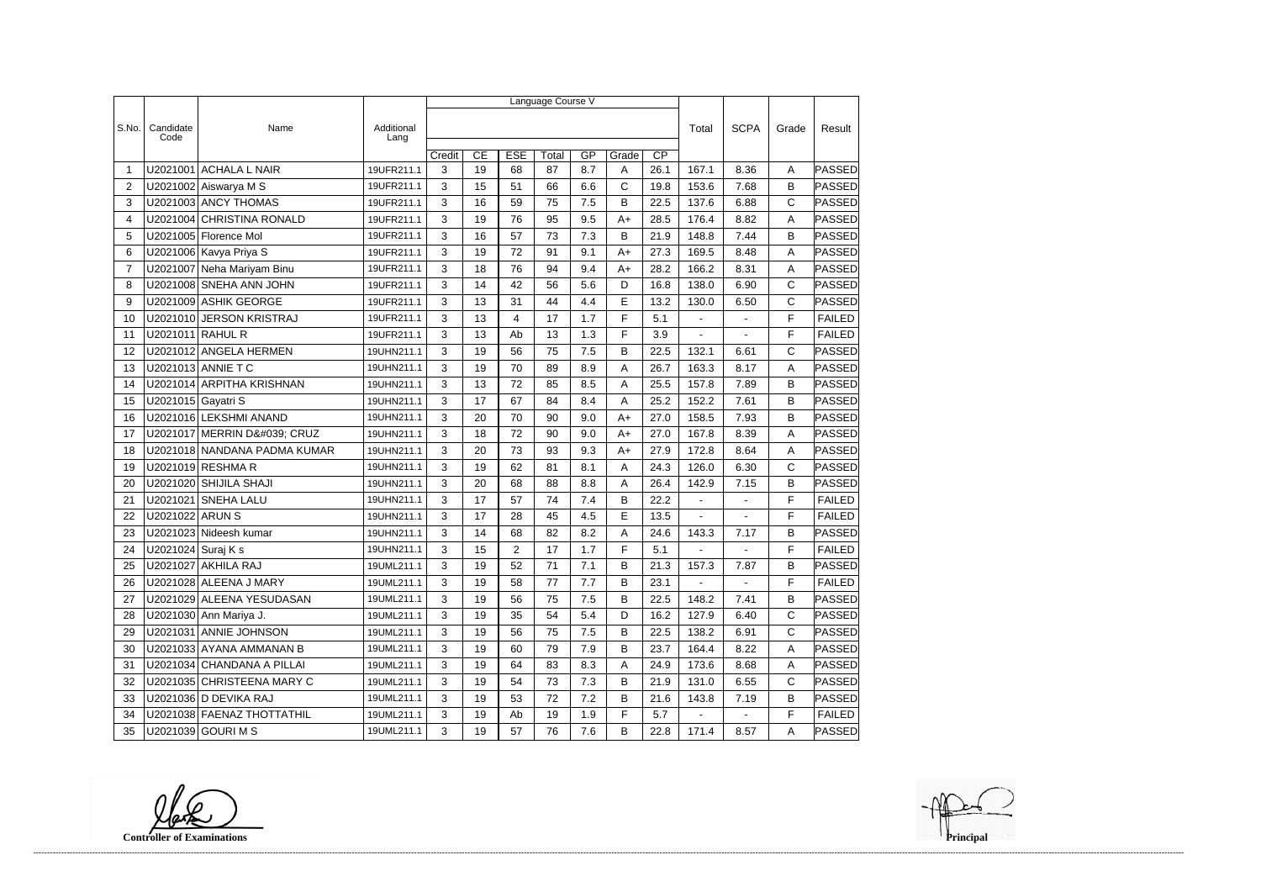|                |                    |                              |                    | Language Course V |    |                |       |     |       |                 |                |                |              |               |  |
|----------------|--------------------|------------------------------|--------------------|-------------------|----|----------------|-------|-----|-------|-----------------|----------------|----------------|--------------|---------------|--|
|                |                    |                              |                    |                   |    |                |       |     |       |                 |                |                |              |               |  |
| S.No.          | Candidate<br>Code  | Name                         | Additional<br>Lang |                   |    |                |       |     |       |                 | Total          | <b>SCPA</b>    | Grade        | Result        |  |
|                |                    |                              |                    | Credit            | CE | <b>ESE</b>     | Total | GP  | Grade | $\overline{CP}$ |                |                |              |               |  |
| -1             | U2021001           | <b>ACHALA L NAIR</b>         | 19UFR211.1         | 3                 | 19 | 68             | 87    | 8.7 | Α     | 26.1            | 167.1          | 8.36           | A            | PASSED        |  |
| $\overline{2}$ |                    | U2021002 Aiswarya M S        | 19UFR211.1         | 3                 | 15 | 51             | 66    | 6.6 | C     | 19.8            | 153.6          | 7.68           | $\mathsf B$  | <b>PASSED</b> |  |
| 3              |                    | U2021003 ANCY THOMAS         | 19UFR211.1         | 3                 | 16 | 59             | 75    | 7.5 | B     | 22.5            | 137.6          | 6.88           | C            | <b>PASSED</b> |  |
| 4              |                    | U2021004 CHRISTINA RONALD    | 19UFR211.1         | 3                 | 19 | 76             | 95    | 9.5 | $A+$  | 28.5            | 176.4          | 8.82           | A            | PASSED        |  |
| 5              |                    | U2021005 Florence Mol        | 19UFR211.1         | 3                 | 16 | 57             | 73    | 7.3 | В     | 21.9            | 148.8          | 7.44           | B            | PASSED        |  |
| 6              |                    | U2021006 Kavya Priya S       | 19UFR211.1         | 3                 | 19 | 72             | 91    | 9.1 | $A+$  | 27.3            | 169.5          | 8.48           | A            | PASSED        |  |
| 7              |                    | U2021007 Neha Mariyam Binu   | 19UFR211.1         | 3                 | 18 | 76             | 94    | 9.4 | $A+$  | 28.2            | 166.2          | 8.31           | A            | <b>PASSED</b> |  |
| 8              |                    | U2021008 SNEHA ANN JOHN      | 19UFR211.1         | 3                 | 14 | 42             | 56    | 5.6 | D     | 16.8            | 138.0          | 6.90           | C            | <b>PASSED</b> |  |
| 9              |                    | U2021009 ASHIK GEORGE        | 19UFR211.1         | 3                 | 13 | 31             | 44    | 4.4 | E     | 13.2            | 130.0          | 6.50           | $\mathsf{C}$ | PASSED        |  |
| 10             |                    | U2021010 JERSON KRISTRAJ     | 19UFR211.1         | 3                 | 13 | 4              | 17    | 1.7 | F     | 5.1             | $\blacksquare$ | $\overline{a}$ | F            | <b>FAILED</b> |  |
| 11             | U2021011 RAHUL R   |                              | 19UFR211.1         | 3                 | 13 | Ab             | 13    | 1.3 | F     | 3.9             |                |                | F            | <b>FAILED</b> |  |
| 12             |                    | U2021012 ANGELA HERMEN       | 19UHN211.1         | 3                 | 19 | 56             | 75    | 7.5 | B     | 22.5            | 132.1          | 6.61           | $\mathsf C$  | PASSED        |  |
| 13             |                    | U2021013 ANNIE T C           | 19UHN211.1         | 3                 | 19 | 70             | 89    | 8.9 | Α     | 26.7            | 163.3          | 8.17           | A            | <b>PASSED</b> |  |
| 14             |                    | U2021014 ARPITHA KRISHNAN    | 19UHN211.1         | 3                 | 13 | 72             | 85    | 8.5 | Α     | 25.5            | 157.8          | 7.89           | B            | PASSED        |  |
| 15             | U2021015 Gayatri S |                              | 19UHN211.1         | 3                 | 17 | 67             | 84    | 8.4 | Α     | 25.2            | 152.2          | 7.61           | B            | PASSED        |  |
| 16             |                    | U2021016 LEKSHMI ANAND       | 19UHN211.1         | 3                 | 20 | 70             | 90    | 9.0 | $A+$  | 27.0            | 158.5          | 7.93           | B            | PASSED        |  |
| 17             |                    | U2021017 MERRIN D' CRUZ      | 19UHN211.1         | 3                 | 18 | 72             | 90    | 9.0 | $A+$  | 27.0            | 167.8          | 8.39           | A            | <b>PASSED</b> |  |
| 18             |                    | U2021018 NANDANA PADMA KUMAR | 19UHN211.1         | 3                 | 20 | 73             | 93    | 9.3 | $A+$  | 27.9            | 172.8          | 8.64           | Α            | <b>PASSED</b> |  |
| 19             |                    | U2021019 RESHMA R            | 19UHN211.1         | 3                 | 19 | 62             | 81    | 8.1 | Α     | 24.3            | 126.0          | 6.30           | $\mathsf C$  | PASSED        |  |
| 20             |                    | U2021020 SHIJILA SHAJI       | 19UHN211.1         | 3                 | 20 | 68             | 88    | 8.8 | Α     | 26.4            | 142.9          | 7.15           | B            | PASSED        |  |
| 21             | U2021021           | <b>SNEHA LALU</b>            | 19UHN211.1         | 3                 | 17 | 57             | 74    | 7.4 | B     | 22.2            |                |                | F            | <b>FAILED</b> |  |
| 22             | U2021022 ARUN S    |                              | 19UHN211.1         | 3                 | 17 | 28             | 45    | 4.5 | E     | 13.5            | $\blacksquare$ | $\overline{a}$ | F            | <b>FAILED</b> |  |
| 23             |                    | U2021023 Nideesh kumar       | 19UHN211.1         | 3                 | 14 | 68             | 82    | 8.2 | Α     | 24.6            | 143.3          | 7.17           | B            | <b>PASSED</b> |  |
| 24             | U2021024 Suraj K s |                              | 19UHN211.1         | 3                 | 15 | $\overline{2}$ | 17    | 1.7 | F     | 5.1             |                |                | F            | <b>FAILED</b> |  |
| 25             |                    | U2021027 AKHILA RAJ          | 19UML211.1         | 3                 | 19 | 52             | $71$  | 7.1 | B     | 21.3            | 157.3          | 7.87           | B            | <b>PASSED</b> |  |
| 26             |                    | U2021028 ALEENA J MARY       | 19UML211.1         | 3                 | 19 | 58             | 77    | 7.7 | B     | 23.1            |                | $\blacksquare$ | F            | <b>FAILED</b> |  |
| 27             |                    | U2021029 ALEENA YESUDASAN    | 19UML211.1         | 3                 | 19 | 56             | 75    | 7.5 | B     | 22.5            | 148.2          | 7.41           | B            | PASSED        |  |
| 28             |                    | U2021030 Ann Mariya J.       | 19UML211.1         | 3                 | 19 | 35             | 54    | 5.4 | D     | 16.2            | 127.9          | 6.40           | C            | PASSED        |  |
| 29             |                    | U2021031 ANNIE JOHNSON       | 19UML211.1         | 3                 | 19 | 56             | 75    | 7.5 | В     | 22.5            | 138.2          | 6.91           | $\mathsf{C}$ | <b>PASSED</b> |  |
| 30             |                    | U2021033 AYANA AMMANAN B     | 19UML211.1         | 3                 | 19 | 60             | 79    | 7.9 | B     | 23.7            | 164.4          | 8.22           | Α            | PASSED        |  |
| 31             |                    | U2021034 CHANDANA A PILLAI   | 19UML211.1         | 3                 | 19 | 64             | 83    | 8.3 | A     | 24.9            | 173.6          | 8.68           | Α            | <b>PASSED</b> |  |
| 32             |                    | U2021035 CHRISTEENA MARY C   | 19UML211.1         | 3                 | 19 | 54             | 73    | 7.3 | В     | 21.9            | 131.0          | 6.55           | $\mathsf{C}$ | PASSED        |  |
| 33             |                    | U2021036 D DEVIKA RAJ        | 19UML211.1         | 3                 | 19 | 53             | 72    | 7.2 | B     | 21.6            | 143.8          | 7.19           | B            | PASSED        |  |
| 34             |                    | U2021038 FAENAZ THOTTATHIL   | 19UML211.1         | 3                 | 19 | Ab             | 19    | 1.9 | F     | 5.7             |                |                | F            | <b>FAILED</b> |  |
| 35             |                    | U2021039 GOURI M S           | 19UML211.1         | 3                 | 19 | 57             | 76    | 7.6 | B     | 22.8            | 171.4          | 8.57           | A            | <b>PASSED</b> |  |

**Controller of Examinations**